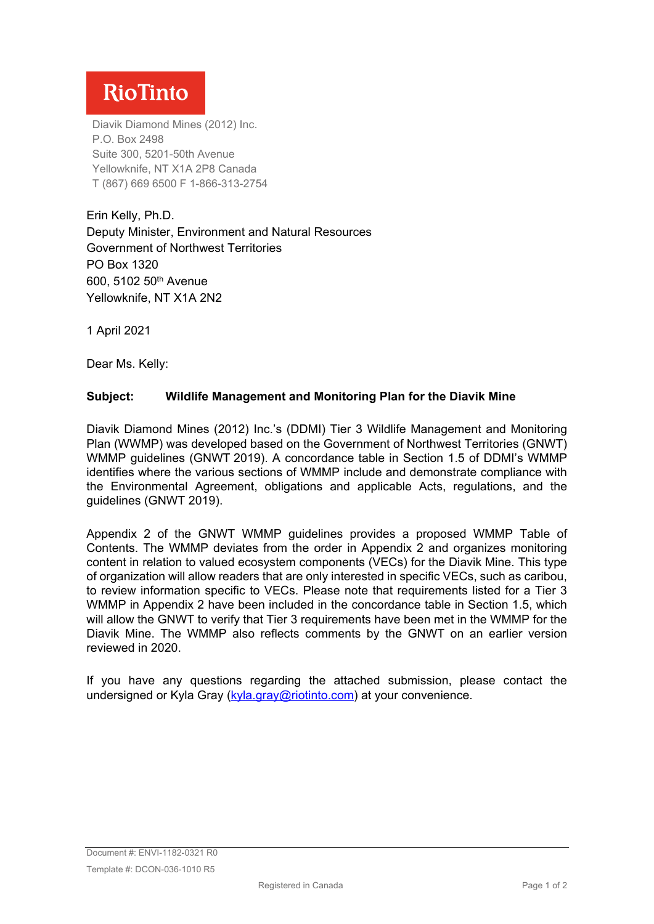## **RioTinto**

Diavik Diamond Mines (2012) Inc. P.O. Box 2498 Suite 300, 5201-50th Avenue Yellowknife, NT X1A 2P8 Canada T (867) 669 6500 F 1-866-313-2754

Erin Kelly, Ph.D. Deputy Minister, Environment and Natural Resources Government of Northwest Territories PO Box 1320 600, 5102 50th Avenue Yellowknife, NT X1A 2N2

1 April 2021

Dear Ms. Kelly:

## **Subject: Wildlife Management and Monitoring Plan for the Diavik Mine**

Diavik Diamond Mines (2012) Inc.'s (DDMI) Tier 3 Wildlife Management and Monitoring Plan (WWMP) was developed based on the Government of Northwest Territories (GNWT) WMMP guidelines (GNWT 2019). A concordance table in Section 1.5 of DDMI's WMMP identifies where the various sections of WMMP include and demonstrate compliance with the Environmental Agreement, obligations and applicable Acts, regulations, and the guidelines (GNWT 2019).

Appendix 2 of the GNWT WMMP guidelines provides a proposed WMMP Table of Contents. The WMMP deviates from the order in Appendix 2 and organizes monitoring content in relation to valued ecosystem components (VECs) for the Diavik Mine. This type of organization will allow readers that are only interested in specific VECs, such as caribou, to review information specific to VECs. Please note that requirements listed for a Tier 3 WMMP in Appendix 2 have been included in the concordance table in Section 1.5, which will allow the GNWT to verify that Tier 3 requirements have been met in the WMMP for the Diavik Mine. The WMMP also reflects comments by the GNWT on an earlier version reviewed in 2020.

If you have any questions regarding the attached submission, please contact the undersigned or Kyla Gray [\(kyla.gray@riotinto.com\)](mailto:kyla.gray@riotinto.com) at your convenience.